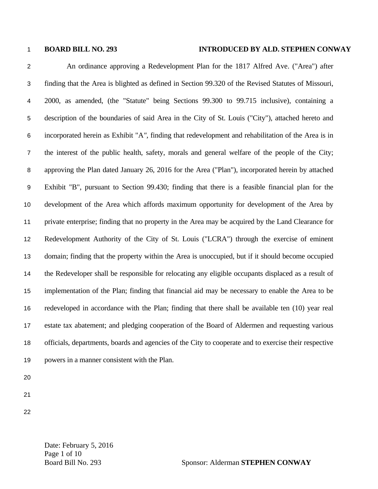## **BOARD BILL NO. 293 INTRODUCED BY ALD. STEPHEN CONWAY**

An ordinance approving a Redevelopment Plan for the 1817 Alfred Ave. ("Area") after finding that the Area is blighted as defined in Section 99.320 of the Revised Statutes of Missouri, 2000, as amended, (the "Statute" being Sections 99.300 to 99.715 inclusive), containing a description of the boundaries of said Area in the City of St. Louis ("City"), attached hereto and incorporated herein as Exhibit "A*",* finding that redevelopment and rehabilitation of the Area is in the interest of the public health, safety, morals and general welfare of the people of the City; approving the Plan dated January 26, 2016 for the Area ("Plan"), incorporated herein by attached Exhibit "B", pursuant to Section 99.430; finding that there is a feasible financial plan for the development of the Area which affords maximum opportunity for development of the Area by private enterprise; finding that no property in the Area may be acquired by the Land Clearance for Redevelopment Authority of the City of St. Louis ("LCRA") through the exercise of eminent domain; finding that the property within the Area is unoccupied, but if it should become occupied the Redeveloper shall be responsible for relocating any eligible occupants displaced as a result of implementation of the Plan; finding that financial aid may be necessary to enable the Area to be redeveloped in accordance with the Plan; finding that there shall be available ten (10) year real estate tax abatement; and pledging cooperation of the Board of Aldermen and requesting various officials, departments, boards and agencies of the City to cooperate and to exercise their respective powers in a manner consistent with the Plan.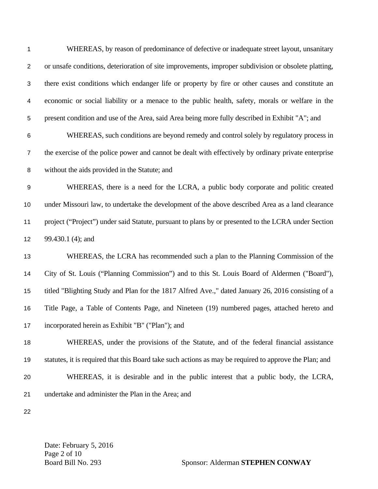| $\mathbf 1$               | WHEREAS, by reason of predominance of defective or inadequate street layout, unsanitary                |
|---------------------------|--------------------------------------------------------------------------------------------------------|
| $\overline{c}$            | or unsafe conditions, deterioration of site improvements, improper subdivision or obsolete platting,   |
| $\ensuremath{\mathsf{3}}$ | there exist conditions which endanger life or property by fire or other causes and constitute an       |
| $\overline{\mathbf{4}}$   | economic or social liability or a menace to the public health, safety, morals or welfare in the        |
| 5                         | present condition and use of the Area, said Area being more fully described in Exhibit "A"; and        |
| $\,6$                     | WHEREAS, such conditions are beyond remedy and control solely by regulatory process in                 |
| $\overline{7}$            | the exercise of the police power and cannot be dealt with effectively by ordinary private enterprise   |
| 8                         | without the aids provided in the Statute; and                                                          |
| $\boldsymbol{9}$          | WHEREAS, there is a need for the LCRA, a public body corporate and politic created                     |
| 10                        | under Missouri law, to undertake the development of the above described Area as a land clearance       |
| 11                        | project ("Project") under said Statute, pursuant to plans by or presented to the LCRA under Section    |
| 12                        | 99.430.1 (4); and                                                                                      |
| 13                        | WHEREAS, the LCRA has recommended such a plan to the Planning Commission of the                        |
| 14                        | City of St. Louis ("Planning Commission") and to this St. Louis Board of Aldermen ("Board"),           |
| 15                        | titled "Blighting Study and Plan for the 1817 Alfred Ave.," dated January 26, 2016 consisting of a     |
| 16                        | Title Page, a Table of Contents Page, and Nineteen (19) numbered pages, attached hereto and            |
| 17                        | incorporated herein as Exhibit "B" ("Plan"); and                                                       |
| 18                        | WHEREAS, under the provisions of the Statute, and of the federal financial assistance                  |
| 19                        | statutes, it is required that this Board take such actions as may be required to approve the Plan; and |
| 20                        | WHEREAS, it is desirable and in the public interest that a public body, the LCRA,                      |
| 21                        | undertake and administer the Plan in the Area; and                                                     |
| 22                        |                                                                                                        |

Date: February 5, 2016 Page 2 of 10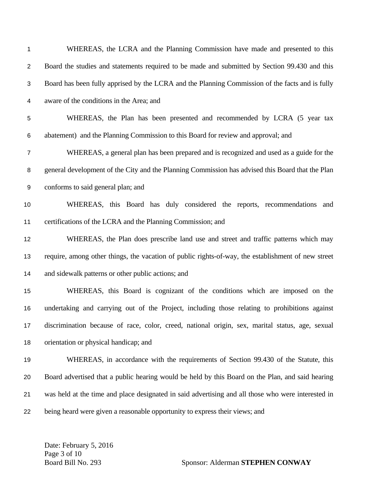| 1                       | WHEREAS, the LCRA and the Planning Commission have made and presented to this                      |
|-------------------------|----------------------------------------------------------------------------------------------------|
| $\overline{c}$          | Board the studies and statements required to be made and submitted by Section 99.430 and this      |
| $\sqrt{3}$              | Board has been fully apprised by the LCRA and the Planning Commission of the facts and is fully    |
| $\overline{\mathbf{4}}$ | aware of the conditions in the Area; and                                                           |
| 5                       | WHEREAS, the Plan has been presented and recommended by LCRA (5 year tax                           |
| 6                       | abatement) and the Planning Commission to this Board for review and approval; and                  |
| $\overline{7}$          | WHEREAS, a general plan has been prepared and is recognized and used as a guide for the            |
| $\bf 8$                 | general development of the City and the Planning Commission has advised this Board that the Plan   |
| 9                       | conforms to said general plan; and                                                                 |
| 10                      | WHEREAS, this Board has duly considered the reports, recommendations<br>and                        |
| 11                      | certifications of the LCRA and the Planning Commission; and                                        |
| 12                      | WHEREAS, the Plan does prescribe land use and street and traffic patterns which may                |
| 13                      | require, among other things, the vacation of public rights-of-way, the establishment of new street |
| 14                      | and sidewalk patterns or other public actions; and                                                 |
| 15                      | WHEREAS, this Board is cognizant of the conditions which are imposed on the                        |
| 16                      | undertaking and carrying out of the Project, including those relating to prohibitions against      |
| 17                      | discrimination because of race, color, creed, national origin, sex, marital status, age, sexual    |
| 18                      | orientation or physical handicap; and                                                              |
| 19                      | WHEREAS, in accordance with the requirements of Section 99.430 of the Statute, this                |
| 20                      | Board advertised that a public hearing would be held by this Board on the Plan, and said hearing   |
| 21                      | was held at the time and place designated in said advertising and all those who were interested in |
| 22                      | being heard were given a reasonable opportunity to express their views; and                        |

Date: February 5, 2016 Page 3 of 10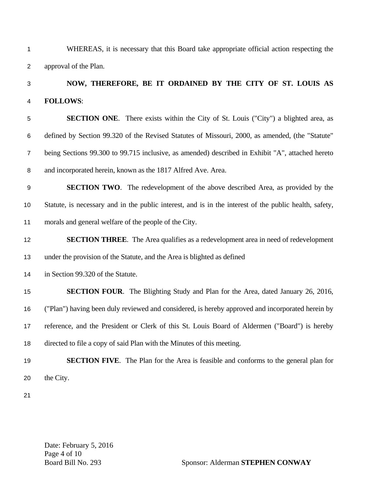| $\mathbf 1$    | WHEREAS, it is necessary that this Board take appropriate official action respecting the               |
|----------------|--------------------------------------------------------------------------------------------------------|
| $\overline{2}$ | approval of the Plan.                                                                                  |
| 3              | NOW, THEREFORE, BE IT ORDAINED BY THE CITY OF ST. LOUIS AS                                             |
| 4              | <b>FOLLOWS:</b>                                                                                        |
| 5              | <b>SECTION ONE.</b> There exists within the City of St. Louis ("City") a blighted area, as             |
| 6              | defined by Section 99.320 of the Revised Statutes of Missouri, 2000, as amended, (the "Statute"        |
| $\overline{7}$ | being Sections 99.300 to 99.715 inclusive, as amended) described in Exhibit "A", attached hereto       |
| 8              | and incorporated herein, known as the 1817 Alfred Ave. Area.                                           |
| 9              | <b>SECTION TWO.</b> The redevelopment of the above described Area, as provided by the                  |
| 10             | Statute, is necessary and in the public interest, and is in the interest of the public health, safety, |
| 11             | morals and general welfare of the people of the City.                                                  |
| 12             | <b>SECTION THREE.</b> The Area qualifies as a redevelopment area in need of redevelopment              |
| 13             | under the provision of the Statute, and the Area is blighted as defined                                |
| 14             | in Section 99.320 of the Statute.                                                                      |
| 15             | <b>SECTION FOUR.</b> The Blighting Study and Plan for the Area, dated January 26, 2016,                |
| 16             | ("Plan") having been duly reviewed and considered, is hereby approved and incorporated herein by       |
| 17             | reference, and the President or Clerk of this St. Louis Board of Aldermen ("Board") is hereby          |
| 18             | directed to file a copy of said Plan with the Minutes of this meeting.                                 |
| 19             | <b>SECTION FIVE.</b> The Plan for the Area is feasible and conforms to the general plan for            |
| 20             | the City.                                                                                              |
|                |                                                                                                        |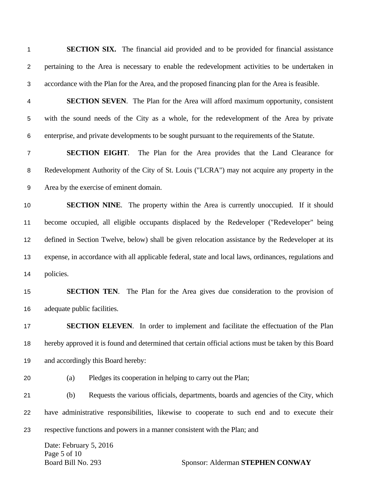**SECTION SIX.** The financial aid provided and to be provided for financial assistance pertaining to the Area is necessary to enable the redevelopment activities to be undertaken in accordance with the Plan for the Area, and the proposed financing plan for the Area is feasible.

**SECTION SEVEN**. The Plan for the Area will afford maximum opportunity, consistent with the sound needs of the City as a whole, for the redevelopment of the Area by private enterprise, and private developments to be sought pursuant to the requirements of the Statute.

**SECTION EIGHT**. The Plan for the Area provides that the Land Clearance for Redevelopment Authority of the City of St. Louis ("LCRA") may not acquire any property in the Area by the exercise of eminent domain.

**SECTION NINE**. The property within the Area is currently unoccupied. If it should become occupied, all eligible occupants displaced by the Redeveloper ("Redeveloper" being defined in Section Twelve, below) shall be given relocation assistance by the Redeveloper at its expense, in accordance with all applicable federal, state and local laws, ordinances, regulations and policies.

## **SECTION TEN**. The Plan for the Area gives due consideration to the provision of adequate public facilities.

**SECTION ELEVEN**. In order to implement and facilitate the effectuation of the Plan hereby approved it is found and determined that certain official actions must be taken by this Board and accordingly this Board hereby:

(a) Pledges its cooperation in helping to carry out the Plan;

(b) Requests the various officials, departments, boards and agencies of the City, which have administrative responsibilities, likewise to cooperate to such end and to execute their respective functions and powers in a manner consistent with the Plan; and

Date: February 5, 2016 Page 5 of 10

Board Bill No. 293 Sponsor: Alderman **STEPHEN CONWAY**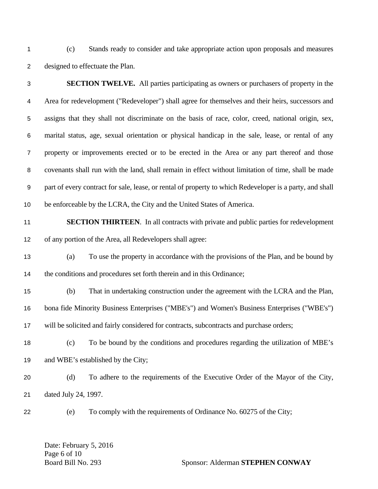(c) Stands ready to consider and take appropriate action upon proposals and measures designed to effectuate the Plan.

| 3                | <b>SECTION TWELVE.</b> All parties participating as owners or purchasers of property in the              |
|------------------|----------------------------------------------------------------------------------------------------------|
| $\overline{4}$   | Area for redevelopment ("Redeveloper") shall agree for themselves and their heirs, successors and        |
| 5                | assigns that they shall not discriminate on the basis of race, color, creed, national origin, sex,       |
| 6                | marital status, age, sexual orientation or physical handicap in the sale, lease, or rental of any        |
| $\boldsymbol{7}$ | property or improvements erected or to be erected in the Area or any part thereof and those              |
| 8                | covenants shall run with the land, shall remain in effect without limitation of time, shall be made      |
| 9                | part of every contract for sale, lease, or rental of property to which Redeveloper is a party, and shall |
| 10               | be enforceable by the LCRA, the City and the United States of America.                                   |
| 11               | <b>SECTION THIRTEEN.</b> In all contracts with private and public parties for redevelopment              |
| 12               | of any portion of the Area, all Redevelopers shall agree:                                                |
| 13               | To use the property in accordance with the provisions of the Plan, and be bound by<br>(a)                |
| 14               | the conditions and procedures set forth therein and in this Ordinance;                                   |
| 15               | That in undertaking construction under the agreement with the LCRA and the Plan,<br>(b)                  |
| 16               | bona fide Minority Business Enterprises ("MBE's") and Women's Business Enterprises ("WBE's")             |
| 17               | will be solicited and fairly considered for contracts, subcontracts and purchase orders;                 |
| 18               | To be bound by the conditions and procedures regarding the utilization of MBE's<br>(c)                   |
| 19               | and WBE's established by the City;                                                                       |
| 20               | To adhere to the requirements of the Executive Order of the Mayor of the City,<br>(d)                    |
| 21               | dated July 24, 1997.                                                                                     |
| 22               | To comply with the requirements of Ordinance No. 60275 of the City;<br>(e)                               |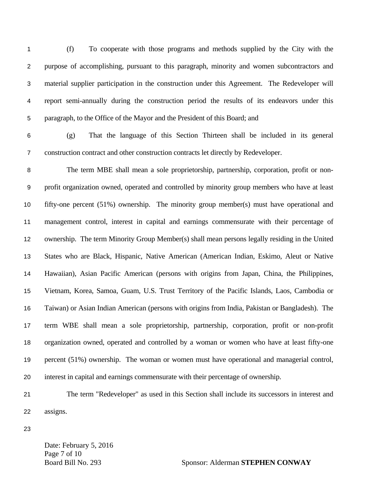(f) To cooperate with those programs and methods supplied by the City with the purpose of accomplishing, pursuant to this paragraph, minority and women subcontractors and material supplier participation in the construction under this Agreement. The Redeveloper will report semi-annually during the construction period the results of its endeavors under this paragraph, to the Office of the Mayor and the President of this Board; and

(g) That the language of this Section Thirteen shall be included in its general construction contract and other construction contracts let directly by Redeveloper.

The term MBE shall mean a sole proprietorship, partnership, corporation, profit or non-profit organization owned, operated and controlled by minority group members who have at least fifty-one percent (51%) ownership. The minority group member(s) must have operational and management control, interest in capital and earnings commensurate with their percentage of ownership. The term Minority Group Member(s) shall mean persons legally residing in the United States who are Black, Hispanic, Native American (American Indian, Eskimo, Aleut or Native Hawaiian), Asian Pacific American (persons with origins from Japan, China, the Philippines, Vietnam, Korea, Samoa, Guam, U.S. Trust Territory of the Pacific Islands, Laos, Cambodia or Taiwan) or Asian Indian American (persons with origins from India, Pakistan or Bangladesh). The term WBE shall mean a sole proprietorship, partnership, corporation, profit or non-profit organization owned, operated and controlled by a woman or women who have at least fifty-one percent (51%) ownership. The woman or women must have operational and managerial control, interest in capital and earnings commensurate with their percentage of ownership.

- The term "Redeveloper" as used in this Section shall include its successors in interest and assigns.
- 

Date: February 5, 2016 Page 7 of 10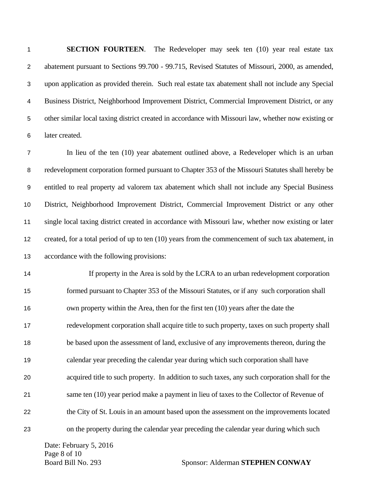**SECTION FOURTEEN**. The Redeveloper may seek ten (10) year real estate tax abatement pursuant to Sections 99.700 - 99.715, Revised Statutes of Missouri, 2000, as amended, upon application as provided therein. Such real estate tax abatement shall not include any Special Business District, Neighborhood Improvement District, Commercial Improvement District, or any other similar local taxing district created in accordance with Missouri law, whether now existing or later created.

In lieu of the ten (10) year abatement outlined above, a Redeveloper which is an urban redevelopment corporation formed pursuant to Chapter 353 of the Missouri Statutes shall hereby be entitled to real property ad valorem tax abatement which shall not include any Special Business District, Neighborhood Improvement District, Commercial Improvement District or any other single local taxing district created in accordance with Missouri law, whether now existing or later created, for a total period of up to ten (10) years from the commencement of such tax abatement, in accordance with the following provisions:

If property in the Area is sold by the LCRA to an urban redevelopment corporation formed pursuant to Chapter 353 of the Missouri Statutes, or if any such corporation shall own property within the Area, then for the first ten (10) years after the date the redevelopment corporation shall acquire title to such property, taxes on such property shall be based upon the assessment of land, exclusive of any improvements thereon, during the calendar year preceding the calendar year during which such corporation shall have acquired title to such property. In addition to such taxes, any such corporation shall for the same ten (10) year period make a payment in lieu of taxes to the Collector of Revenue of the City of St. Louis in an amount based upon the assessment on the improvements located on the property during the calendar year preceding the calendar year during which such

Date: February 5, 2016 Page 8 of 10

Board Bill No. 293 Sponsor: Alderman **STEPHEN CONWAY**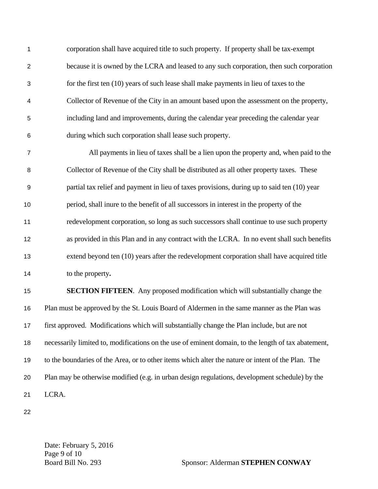corporation shall have acquired title to such property. If property shall be tax-exempt because it is owned by the LCRA and leased to any such corporation, then such corporation for the first ten (10) years of such lease shall make payments in lieu of taxes to the Collector of Revenue of the City in an amount based upon the assessment on the property, including land and improvements, during the calendar year preceding the calendar year during which such corporation shall lease such property.

All payments in lieu of taxes shall be a lien upon the property and, when paid to the Collector of Revenue of the City shall be distributed as all other property taxes. These partial tax relief and payment in lieu of taxes provisions, during up to said ten (10) year period, shall inure to the benefit of all successors in interest in the property of the redevelopment corporation, so long as such successors shall continue to use such property as provided in this Plan and in any contract with the LCRA. In no event shall such benefits extend beyond ten (10) years after the redevelopment corporation shall have acquired title to the property**.** 

**SECTION FIFTEEN**. Any proposed modification which will substantially change the Plan must be approved by the St. Louis Board of Aldermen in the same manner as the Plan was first approved. Modifications which will substantially change the Plan include, but are not necessarily limited to, modifications on the use of eminent domain, to the length of tax abatement, to the boundaries of the Area, or to other items which alter the nature or intent of the Plan. The Plan may be otherwise modified (e.g. in urban design regulations, development schedule) by the LCRA.

Date: February 5, 2016 Page 9 of 10